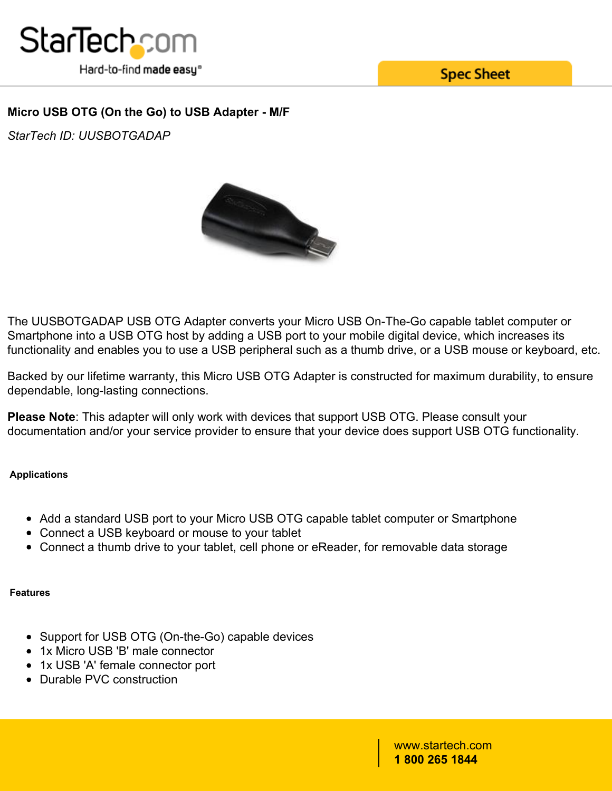

**Spec Sheet** 

## **Micro USB OTG (On the Go) to USB Adapter - M/F**

*StarTech ID: UUSBOTGADAP*



The UUSBOTGADAP USB OTG Adapter converts your Micro USB On-The-Go capable tablet computer or Smartphone into a USB OTG host by adding a USB port to your mobile digital device, which increases its functionality and enables you to use a USB peripheral such as a thumb drive, or a USB mouse or keyboard, etc.

Backed by our lifetime warranty, this Micro USB OTG Adapter is constructed for maximum durability, to ensure dependable, long-lasting connections.

**Please Note**: This adapter will only work with devices that support USB OTG. Please consult your documentation and/or your service provider to ensure that your device does support USB OTG functionality.

### **Applications**

- Add a standard USB port to your Micro USB OTG capable tablet computer or Smartphone
- Connect a USB keyboard or mouse to your tablet
- Connect a thumb drive to your tablet, cell phone or eReader, for removable data storage

### **Features**

- Support for USB OTG (On-the-Go) capable devices
- 1x Micro USB 'B' male connector
- 1x USB 'A' female connector port
- Durable PVC construction

www.startech.com **1 800 265 1844**